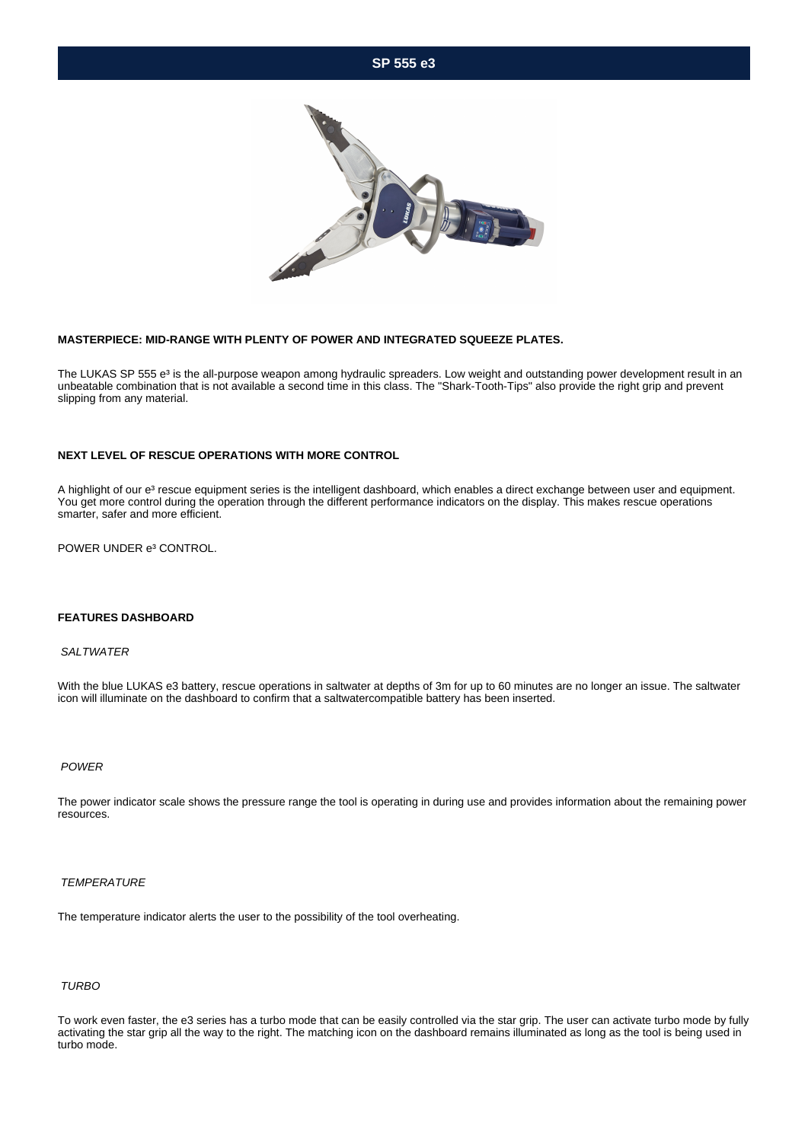# **SP 555 e3**



## **MASTERPIECE: MID-RANGE WITH PLENTY OF POWER AND INTEGRATED SQUEEZE PLATES.**

The LUKAS SP 555 e<sup>3</sup> is the all-purpose weapon among hydraulic spreaders. Low weight and outstanding power development result in an unbeatable combination that is not available a second time in this class. The "Shark-Tooth-Tips" also provide the right grip and prevent slipping from any material.

#### **NEXT LEVEL OF RESCUE OPERATIONS WITH MORE CONTROL**

A highlight of our e<sup>3</sup> rescue equipment series is the intelligent dashboard, which enables a direct exchange between user and equipment. You get more control during the operation through the different performance indicators on the display. This makes rescue operations smarter, safer and more efficient.

POWER UNDER e<sup>3</sup> CONTROL.

## **FEATURES DASHBOARD**

#### **SALTWATER**

With the blue LUKAS e3 battery, rescue operations in saltwater at depths of 3m for up to 60 minutes are no longer an issue. The saltwater icon will illuminate on the dashboard to confirm that a saltwatercompatible battery has been inserted.

# POWER

The power indicator scale shows the pressure range the tool is operating in during use and provides information about the remaining power resources.

#### **TEMPERATURE**

The temperature indicator alerts the user to the possibility of the tool overheating.

# TURBO

To work even faster, the e3 series has a turbo mode that can be easily controlled via the star grip. The user can activate turbo mode by fully activating the star grip all the way to the right. The matching icon on the dashboard remains illuminated as long as the tool is being used in turbo mode.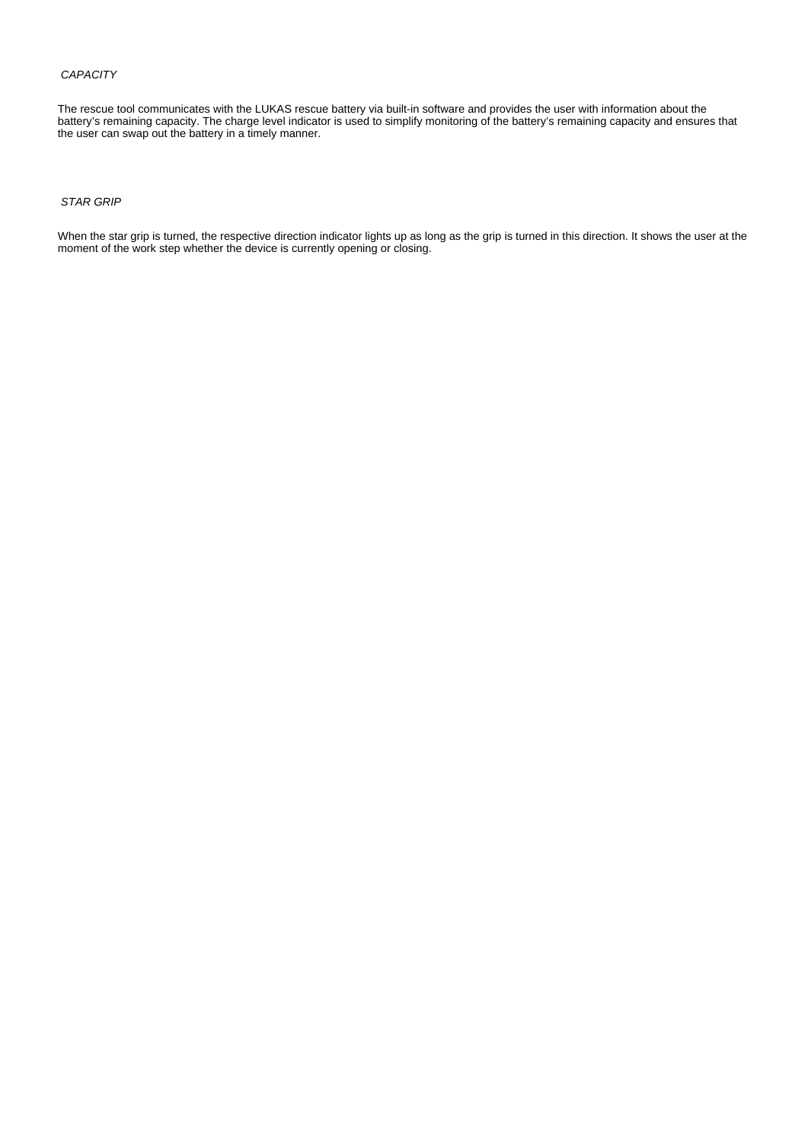## **CAPACITY**

The rescue tool communicates with the LUKAS rescue battery via built-in software and provides the user with information about the battery's remaining capacity. The charge level indicator is used to simplify monitoring of the battery's remaining capacity and ensures that the user can swap out the battery in a timely manner.

## STAR GRIP

When the star grip is turned, the respective direction indicator lights up as long as the grip is turned in this direction. It shows the user at the moment of the work step whether the device is currently opening or closing.